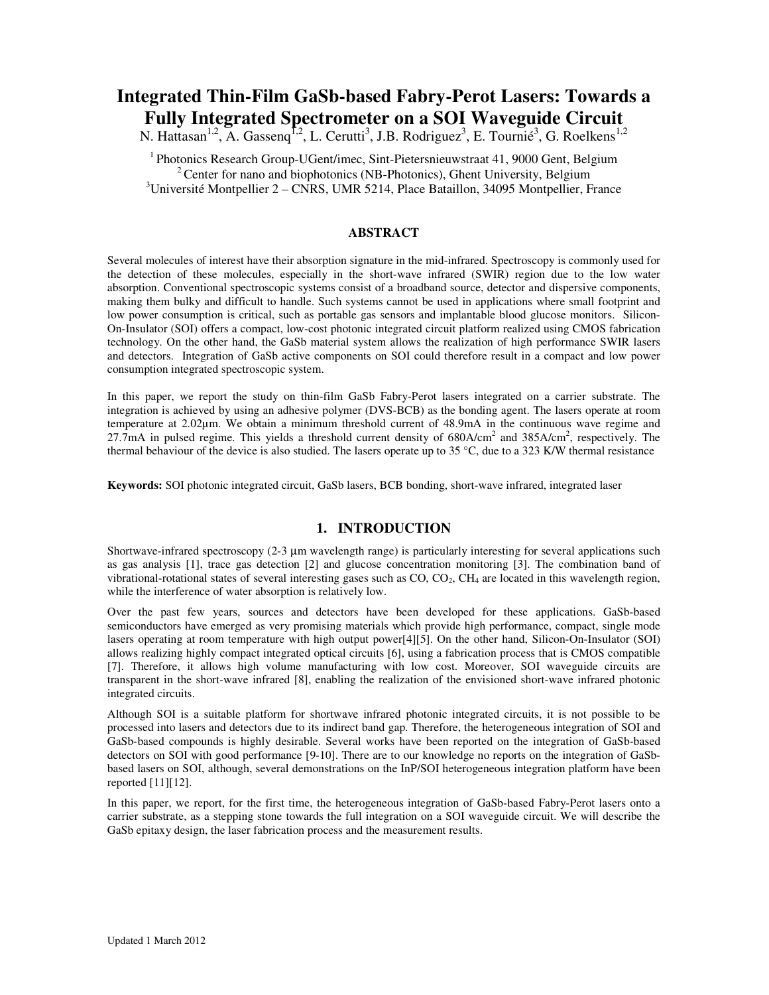# **Integrated Thin-Film GaSb-based Fabry-Perot Lasers: Towards a Fully Integrated Spectrometer on a SOI Waveguide Circuit**

N. Hattasan<sup>1,2</sup>, A. Gassenq<sup>1,2</sup>, L. Cerutti<sup>3</sup>, J.B. Rodriguez<sup>3</sup>, E. Tournié<sup>3</sup>, G. Roelkens<sup>1,2</sup>

 $1$ Photonics Research Group-UGent/imec, Sint-Pietersnieuwstraat 41, 9000 Gent, Belgium  $2^2$  Center for nano and biophotonics (NB-Photonics), Ghent University, Belgium  $3$ Université Montpellier 2 – CNRS, UMR 5214, Place Bataillon, 34095 Montpellier, France

# **ABSTRACT**

Several molecules of interest have their absorption signature in the mid-infrared. Spectroscopy is commonly used for the detection of these molecules, especially in the short-wave infrared (SWIR) region due to the low water absorption. Conventional spectroscopic systems consist of a broadband source, detector and dispersive components, making them bulky and difficult to handle. Such systems cannot be used in applications where small footprint and low power consumption is critical, such as portable gas sensors and implantable blood glucose monitors. Silicon-On-Insulator (SOI) offers a compact, low-cost photonic integrated circuit platform realized using CMOS fabrication technology. On the other hand, the GaSb material system allows the realization of high performance SWIR lasers and detectors. Integration of GaSb active components on SOI could therefore result in a compact and low power consumption integrated spectroscopic system.

In this paper, we report the study on thin-film GaSb Fabry-Perot lasers integrated on a carrier substrate. The integration is achieved by using an adhesive polymer (DVS-BCB) as the bonding agent. The lasers operate at room temperature at 2.02µm. We obtain a minimum threshold current of 48.9mA in the continuous wave regime and 27.7mA in pulsed regime. This yields a threshold current density of  $680$ A/cm<sup>2</sup> and  $385$ A/cm<sup>2</sup>, respectively. The thermal behaviour of the device is also studied. The lasers operate up to 35 °C, due to a 323 K/W thermal resistance

**Keywords:** SOI photonic integrated circuit, GaSb lasers, BCB bonding, short-wave infrared, integrated laser

# **1. INTRODUCTION**

Shortwave-infrared spectroscopy (2-3  $\mu$ m wavelength range) is particularly interesting for several applications such as gas analysis [1], trace gas detection [2] and glucose concentration monitoring [3]. The combination band of vibrational-rotational states of several interesting gases such as  $CO$ ,  $CO<sub>2</sub>$ ,  $CH<sub>4</sub>$  are located in this wavelength region, while the interference of water absorption is relatively low.

Over the past few years, sources and detectors have been developed for these applications. GaSb-based semiconductors have emerged as very promising materials which provide high performance, compact, single mode lasers operating at room temperature with high output power[4][5]. On the other hand, Silicon-On-Insulator (SOI) allows realizing highly compact integrated optical circuits [6], using a fabrication process that is CMOS compatible [7]. Therefore, it allows high volume manufacturing with low cost. Moreover, SOI waveguide circuits are transparent in the short-wave infrared [8], enabling the realization of the envisioned short-wave infrared photonic integrated circuits.

Although SOI is a suitable platform for shortwave infrared photonic integrated circuits, it is not possible to be processed into lasers and detectors due to its indirect band gap. Therefore, the heterogeneous integration of SOI and GaSb-based compounds is highly desirable. Several works have been reported on the integration of GaSb-based detectors on SOI with good performance [9-10]. There are to our knowledge no reports on the integration of GaSbbased lasers on SOI, although, several demonstrations on the InP/SOI heterogeneous integration platform have been reported [11][12].

In this paper, we report, for the first time, the heterogeneous integration of GaSb-based Fabry-Perot lasers onto a carrier substrate, as a stepping stone towards the full integration on a SOI waveguide circuit. We will describe the GaSb epitaxy design, the laser fabrication process and the measurement results.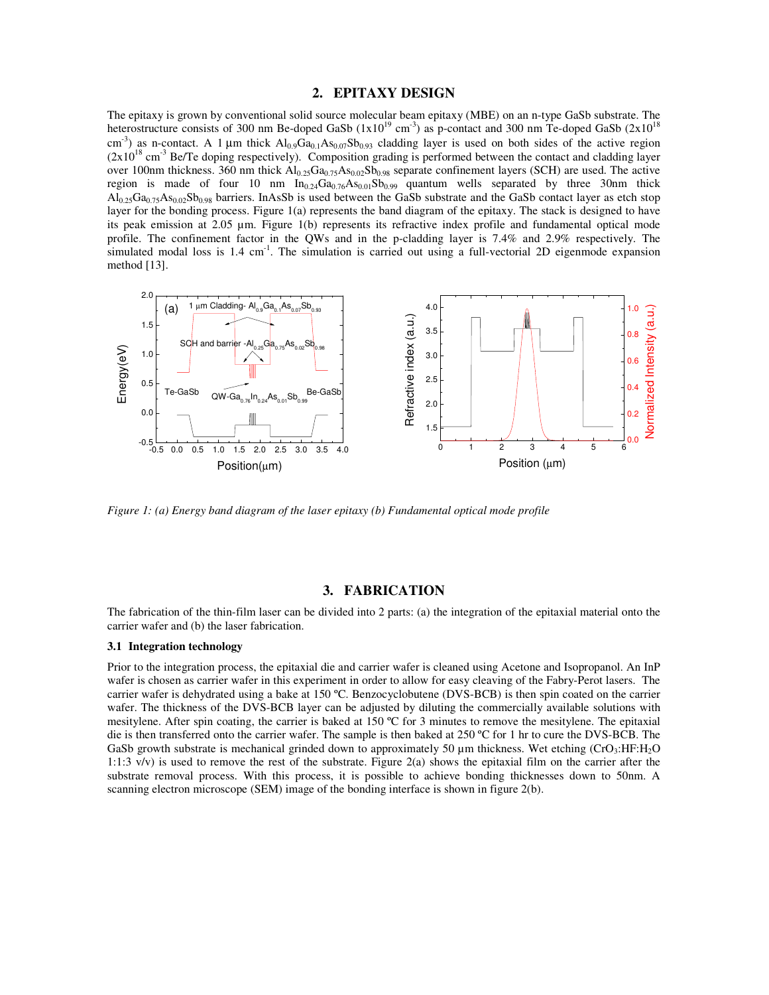## **2. EPITAXY DESIGN**

The epitaxy is grown by conventional solid source molecular beam epitaxy (MBE) on an n-type GaSb substrate. The heterostructure consists of 300 nm Be-doped GaSb  $(1x10^{19} \text{ cm}^3)$  as p-contact and 300 nm Te-doped GaSb  $(2x10^{18} \text{ cm}^3)$ cm<sup>-3</sup>) as n-contact. A 1  $\mu$ m thick  $Al_{0.9}Ga_{0.1}As_{0.07}Sb_{0.93}$  cladding layer is used on both sides of the active region  $(2x10^{18} \text{ cm}^{-3} \text{ Be/Te}$  doping respectively). Composition grading is performed between the contact and cladding layer over 100nm thickness. 360 nm thick Al<sub>0.25</sub>Ga<sub>0.75</sub>As<sub>0.02</sub>Sb<sub>0.98</sub> separate confinement layers (SCH) are used. The active region is made of four 10 nm  $In_{0.24}Ga_{0.76}As_{0.01}Sb_{0.99}$  quantum wells separated by three 30nm thick  $A_{0.25}$ Ga<sub>0.75</sub>As<sub>0.02</sub>Sb<sub>0.98</sub> barriers. InAsSb is used between the GaSb substrate and the GaSb contact layer as etch stop layer for the bonding process. Figure 1(a) represents the band diagram of the epitaxy. The stack is designed to have its peak emission at 2.05 µm. Figure 1(b) represents its refractive index profile and fundamental optical mode profile. The confinement factor in the QWs and in the p-cladding layer is 7.4% and 2.9% respectively. The simulated modal loss is  $1.4 \text{ cm}^{-1}$ . The simulation is carried out using a full-vectorial 2D eigenmode expansion method [13].



*Figure 1: (a) Energy band diagram of the laser epitaxy (b) Fundamental optical mode profile*

### **3. FABRICATION**

The fabrication of the thin-film laser can be divided into 2 parts: (a) the integration of the epitaxial material onto the carrier wafer and (b) the laser fabrication.

#### **3.1 Integration technology**

Prior to the integration process, the epitaxial die and carrier wafer is cleaned using Acetone and Isopropanol. An InP wafer is chosen as carrier wafer in this experiment in order to allow for easy cleaving of the Fabry-Perot lasers. The carrier wafer is dehydrated using a bake at 150 ºC. Benzocyclobutene (DVS-BCB) is then spin coated on the carrier wafer. The thickness of the DVS-BCB layer can be adjusted by diluting the commercially available solutions with mesitylene. After spin coating, the carrier is baked at 150 ºC for 3 minutes to remove the mesitylene. The epitaxial die is then transferred onto the carrier wafer. The sample is then baked at 250 ºC for 1 hr to cure the DVS-BCB. The GaSb growth substrate is mechanical grinded down to approximately 50  $\mu$ m thickness. Wet etching (CrO<sub>3</sub>:HF:H<sub>2</sub>O 1:1:3  $v/v$ ) is used to remove the rest of the substrate. Figure 2(a) shows the epitaxial film on the carrier after the substrate removal process. With this process, it is possible to achieve bonding thicknesses down to 50nm. A scanning electron microscope (SEM) image of the bonding interface is shown in figure 2(b).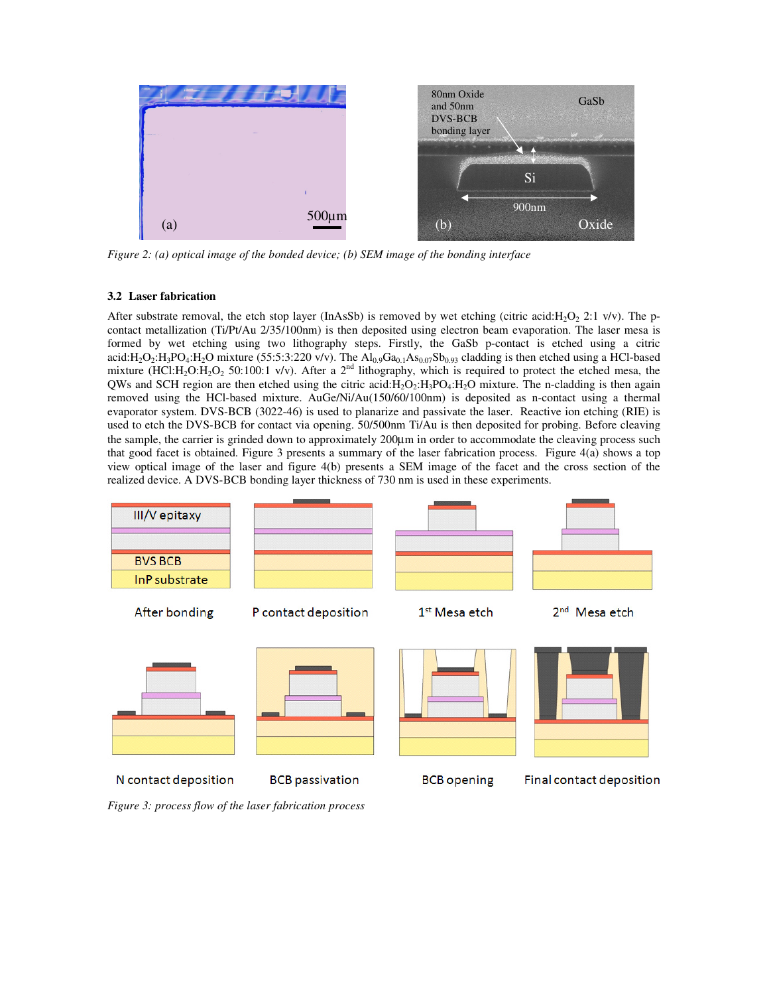

*Figure 2: (a) optical image of the bonded device; (b) SEM image of the bonding interface*

# **3.2 Laser fabrication**

After substrate removal, the etch stop layer (InAsSb) is removed by wet etching (citric acid:H<sub>2</sub>O<sub>2</sub> 2:1 v/v). The pcontact metallization (Ti/Pt/Au 2/35/100nm) is then deposited using electron beam evaporation. The laser mesa is formed by wet etching using two lithography steps. Firstly, the GaSb p-contact is etched using a citric acid:H<sub>2</sub>O<sub>2</sub>:H<sub>3</sub>PO<sub>4</sub>:H<sub>2</sub>O mixture (55:5:3:220 v/v). The  $\overline{Al}_{0.9}Ga_{0.1}As_{0.07}Sb_{0.93}$  cladding is then etched using a HCl-based mixture (HCl:H<sub>2</sub>O:H<sub>2</sub>O<sub>2</sub> 50:100:1 v/v). After a 2<sup>nd</sup> lithography, which is required to protect the etched mesa, the QWs and SCH region are then etched using the citric acid: $H_2O_2:H_3PO_4:H_2O$  mixture. The n-cladding is then again removed using the HCl-based mixture. AuGe/Ni/Au(150/60/100nm) is deposited as n-contact using a thermal evaporator system. DVS-BCB (3022-46) is used to planarize and passivate the laser. Reactive ion etching (RIE) is used to etch the DVS-BCB for contact via opening. 50/500nm Ti/Au is then deposited for probing. Before cleaving the sample, the carrier is grinded down to approximately 200µm in order to accommodate the cleaving process such that good facet is obtained. Figure 3 presents a summary of the laser fabrication process. Figure 4(a) shows a top view optical image of the laser and figure 4(b) presents a SEM image of the facet and the cross section of the realized device. A DVS-BCB bonding layer thickness of 730 nm is used in these experiments.



*Figure 3: process flow of the laser fabrication process*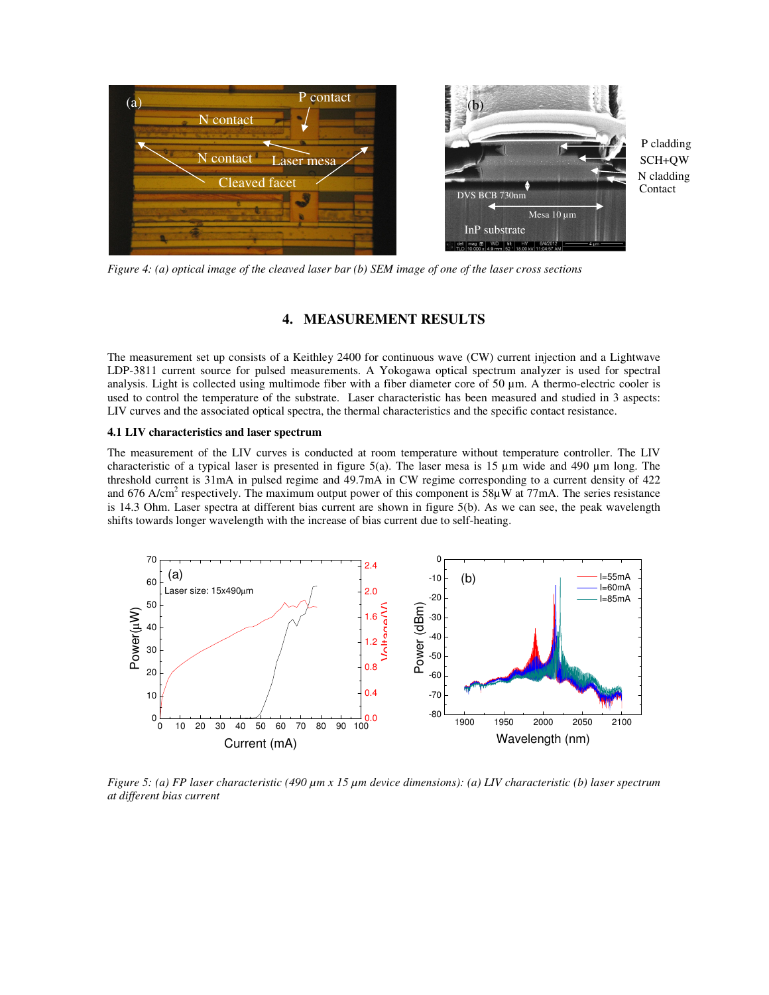

N cladding Contact SCH+QW P cladding

*Figure 4: (a) optical image of the cleaved laser bar (b) SEM image of one of the laser cross sections* 

# **4. MEASUREMENT RESULTS**

The measurement set up consists of a Keithley 2400 for continuous wave (CW) current injection and a Lightwave LDP-3811 current source for pulsed measurements. A Yokogawa optical spectrum analyzer is used for spectral analysis. Light is collected using multimode fiber with a fiber diameter core of 50  $\mu$ m. A thermo-electric cooler is used to control the temperature of the substrate. Laser characteristic has been measured and studied in 3 aspects: LIV curves and the associated optical spectra, the thermal characteristics and the specific contact resistance.

#### **4.1 LIV characteristics and laser spectrum**

The measurement of the LIV curves is conducted at room temperature without temperature controller. The LIV characteristic of a typical laser is presented in figure 5(a). The laser mesa is 15 µm wide and 490 µm long. The threshold current is 31mA in pulsed regime and 49.7mA in CW regime corresponding to a current density of 422 and 676 A/cm<sup>2</sup> respectively. The maximum output power of this component is  $58\mu$ W at 77mA. The series resistance is 14.3 Ohm. Laser spectra at different bias current are shown in figure 5(b). As we can see, the peak wavelength shifts towards longer wavelength with the increase of bias current due to self-heating.



*Figure 5: (a) FP laser characteristic (490 µm x 15 µm device dimensions): (a) LIV characteristic (b) laser spectrum at different bias current*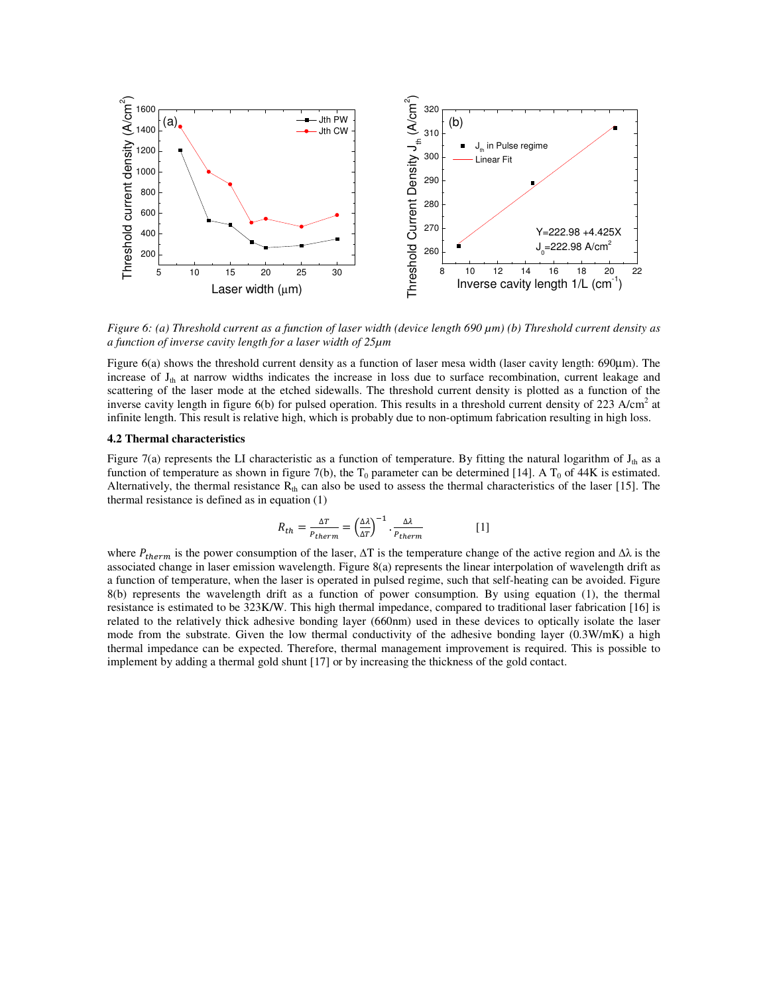

*Figure 6: (a) Threshold current as a function of laser width (device length 690 µm) (b) Threshold current density as a function of inverse cavity length for a laser width of 25µm*

Figure 6(a) shows the threshold current density as a function of laser mesa width (laser cavity length: 690µm). The increase of  $J<sub>th</sub>$  at narrow widths indicates the increase in loss due to surface recombination, current leakage and scattering of the laser mode at the etched sidewalls. The threshold current density is plotted as a function of the inverse cavity length in figure  $6(b)$  for pulsed operation. This results in a threshold current density of 223 A/cm<sup>2</sup> at infinite length. This result is relative high, which is probably due to non-optimum fabrication resulting in high loss.

### **4.2 Thermal characteristics**

Figure 7(a) represents the LI characteristic as a function of temperature. By fitting the natural logarithm of  $J<sub>th</sub>$  as a function of temperature as shown in figure 7(b), the  $T_0$  parameter can be determined [14]. A  $T_0$  of 44K is estimated. Alternatively, the thermal resistance  $R_{th}$  can also be used to assess the thermal characteristics of the laser [15]. The thermal resistance is defined as in equation (1)

$$
R_{th} = \frac{\Delta T}{P_{therm}} = \left(\frac{\Delta \lambda}{\Delta T}\right)^{-1} \cdot \frac{\Delta \lambda}{P_{therm}}
$$
 [1]

where  $P_{therm}$  is the power consumption of the laser,  $\Delta T$  is the temperature change of the active region and  $\Delta \lambda$  is the associated change in laser emission wavelength. Figure 8(a) represents the linear interpolation of wavelength drift as a function of temperature, when the laser is operated in pulsed regime, such that self-heating can be avoided. Figure 8(b) represents the wavelength drift as a function of power consumption. By using equation (1), the thermal resistance is estimated to be 323K/W. This high thermal impedance, compared to traditional laser fabrication [16] is related to the relatively thick adhesive bonding layer (660nm) used in these devices to optically isolate the laser mode from the substrate. Given the low thermal conductivity of the adhesive bonding layer (0.3W/mK) a high thermal impedance can be expected. Therefore, thermal management improvement is required. This is possible to implement by adding a thermal gold shunt [17] or by increasing the thickness of the gold contact.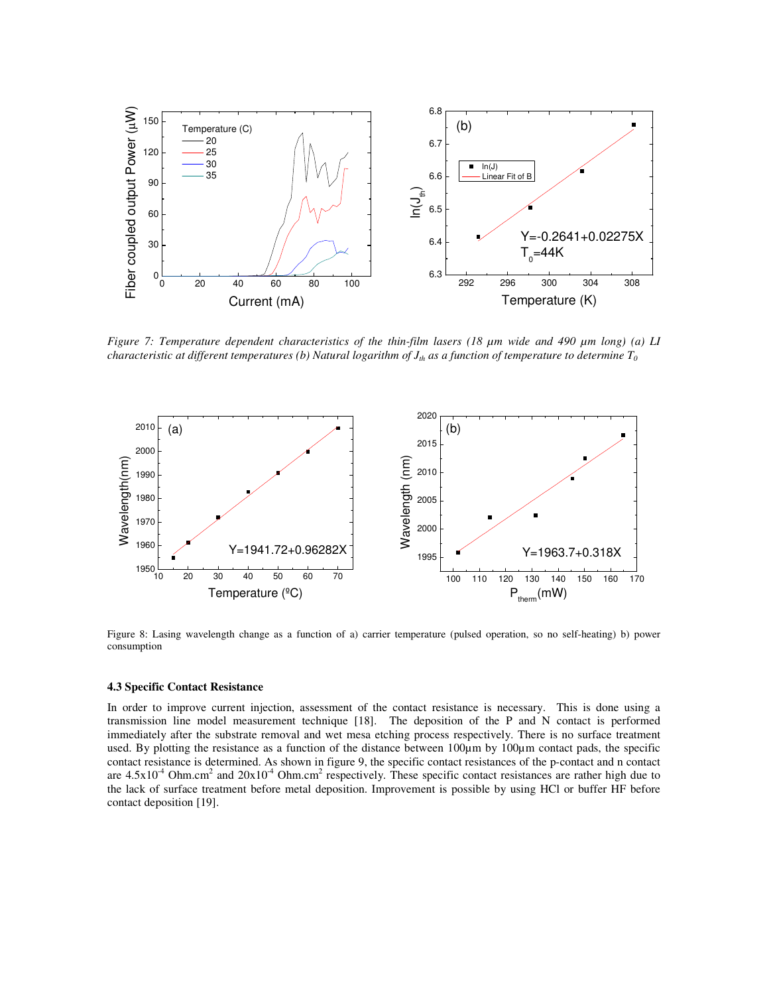

*Figure 7: Temperature dependent characteristics of the thin-film lasers (18 µm wide and 490 µm long) (a) LI characteristic at different temperatures (b) Natural logarithm of Jth as a function of temperature to determine T<sup>0</sup>*



Figure 8: Lasing wavelength change as a function of a) carrier temperature (pulsed operation, so no self-heating) b) power consumption

#### **4.3 Specific Contact Resistance**

In order to improve current injection, assessment of the contact resistance is necessary. This is done using a transmission line model measurement technique [18]. The deposition of the P and N contact is performed immediately after the substrate removal and wet mesa etching process respectively. There is no surface treatment used. By plotting the resistance as a function of the distance between 100µm by 100µm contact pads, the specific contact resistance is determined. As shown in figure 9, the specific contact resistances of the p-contact and n contact are  $4.5x10<sup>-4</sup>$  Ohm.cm<sup>2</sup> and  $20x10<sup>-4</sup>$  Ohm.cm<sup>2</sup> respectively. These specific contact resistances are rather high due to the lack of surface treatment before metal deposition. Improvement is possible by using HCl or buffer HF before contact deposition [19].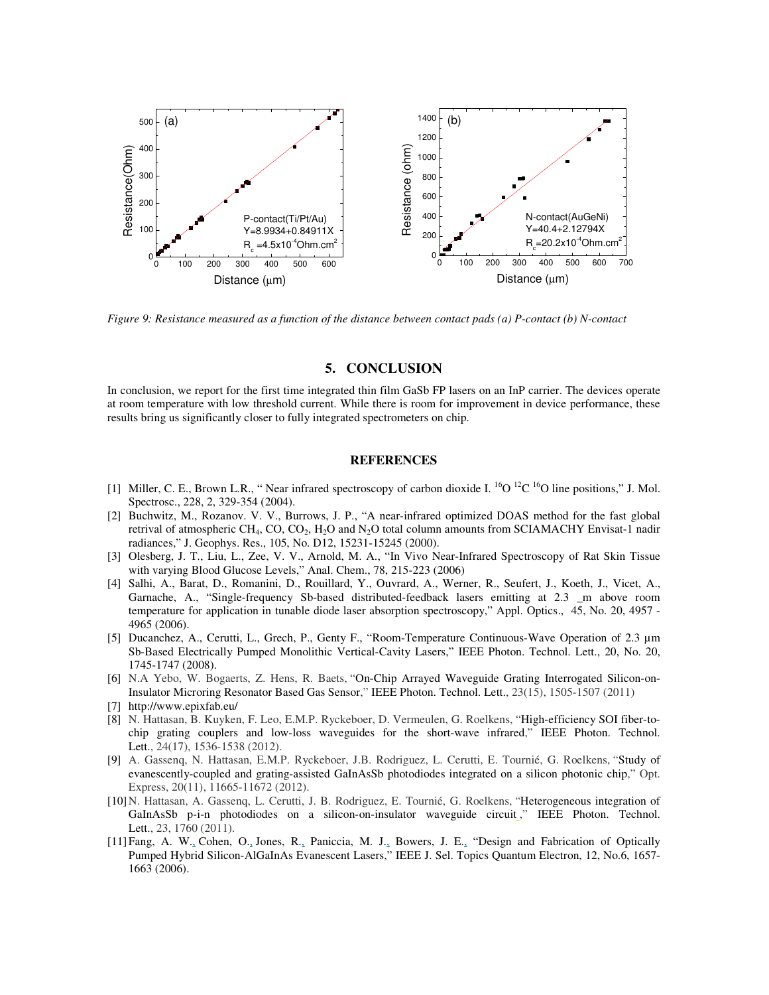

*Figure 9: Resistance measured as a function of the distance between contact pads (a) P-contact (b) N-contact* 

### **5. CONCLUSION**

In conclusion, we report for the first time integrated thin film GaSb FP lasers on an InP carrier. The devices operate at room temperature with low threshold current. While there is room for improvement in device performance, these results bring us significantly closer to fully integrated spectrometers on chip.

## **REFERENCES**

- [1] Miller, C. E., Brown L.R., " Near infrared spectroscopy of carbon dioxide I. <sup>16</sup>O <sup>12</sup>C <sup>16</sup>O line positions," J. Mol. Spectrosc., 228, 2, 329-354 (2004).
- [2] Buchwitz, M., Rozanov. V. V., Burrows, J. P., "A near-infrared optimized DOAS method for the fast global retrival of atmospheric CH<sub>4</sub>, CO, CO<sub>2</sub>, H<sub>2</sub>O and N<sub>2</sub>O total column amounts from SCIAMACHY Envisat-1 nadir radiances," J. Geophys. Res., 105, No. D12, 15231-15245 (2000).
- [3] Olesberg, J. T., Liu, L., Zee, V. V., Arnold, M. A., "In Vivo Near-Infrared Spectroscopy of Rat Skin Tissue with varying Blood Glucose Levels," Anal. Chem., 78, 215-223 (2006)
- [4] Salhi, A., Barat, D., Romanini, D., Rouillard, Y., Ouvrard, A., Werner, R., Seufert, J., Koeth, J., Vicet, A., Garnache, A., "Single-frequency Sb-based distributed-feedback lasers emitting at 2.3 \_m above room temperature for application in tunable diode laser absorption spectroscopy," Appl. Optics., 45, No. 20, 4957 - 4965 (2006).
- [5] Ducanchez, A., Cerutti, L., Grech, P., Genty F., "Room-Temperature Continuous-Wave Operation of 2.3 µm Sb-Based Electrically Pumped Monolithic Vertical-Cavity Lasers," IEEE Photon. Technol. Lett., 20, No. 20, 1745-1747 (2008).
- [6] N.A Yebo, W. Bogaerts, Z. Hens, R. Baets, "On-Chip Arrayed Waveguide Grating Interrogated Silicon-on-Insulator Microring Resonator Based Gas Sensor," IEEE Photon. Technol. Lett., 23(15), 1505-1507 (2011)
- [7] http://www.epixfab.eu/
- [8] N. Hattasan, B. Kuyken, F. Leo, E.M.P. Ryckeboer, D. Vermeulen, G. Roelkens, "High-efficiency SOI fiber-tochip grating couplers and low-loss waveguides for the short-wave infrared," IEEE Photon. Technol. Lett., 24(17), 1536-1538 (2012).
- [9] A. Gassenq, N. Hattasan, E.M.P. Ryckeboer, J.B. Rodriguez, L. Cerutti, E. Tournié, G. Roelkens, "Study of evanescently-coupled and grating-assisted GaInAsSb photodiodes integrated on a silicon photonic chip," Opt. Express, 20(11), 11665-11672 (2012).
- [10]N. Hattasan, A. Gassenq, L. Cerutti, J. B. Rodriguez, E. Tournié, G. Roelkens, "Heterogeneous integration of GaInAsSb p-i-n photodiodes on a silicon-on-insulator waveguide circuit ," IEEE Photon. Technol. Lett., 23, 1760 (2011).
- [11]Fang, A. W., Cohen, O., Jones, R., Paniccia, M. J., Bowers, J. E., "Design and Fabrication of Optically Pumped Hybrid Silicon-AlGaInAs Evanescent Lasers," IEEE J. Sel. Topics Quantum Electron, 12, No.6, 1657- 1663 (2006).